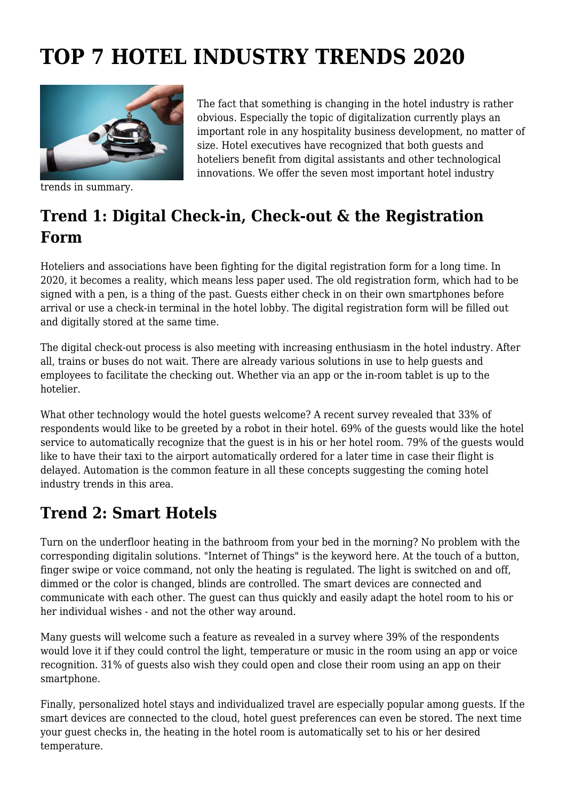# **TOP 7 HOTEL INDUSTRY TRENDS 2020**



trends in summary.

The fact that something is changing in the hotel industry is rather obvious. Especially the topic of digitalization currently plays an important role in any hospitality business development, no matter of size. Hotel executives have recognized that both guests and hoteliers benefit from digital assistants and other technological innovations. We offer the seven most important hotel industry

## **Trend 1: Digital Check-in, Check-out & the Registration Form**

Hoteliers and associations have been fighting for the digital registration form for a long time. In 2020, it becomes a reality, which means less paper used. The old registration form, which had to be signed with a pen, is a thing of the past. Guests either check in on their own smartphones before arrival or use a check-in terminal in the hotel lobby. The digital registration form will be filled out and digitally stored at the same time.

The digital check-out process is also meeting with increasing enthusiasm in the hotel industry. After all, trains or buses do not wait. There are already various solutions in use to help guests and employees to facilitate the checking out. Whether via an app or the in-room tablet is up to the hotelier.

What other technology would the hotel guests welcome? A recent survey revealed that 33% of respondents would like to be greeted by a robot in their hotel. 69% of the guests would like the hotel service to automatically recognize that the guest is in his or her hotel room. 79% of the guests would like to have their taxi to the airport automatically ordered for a later time in case their flight is delayed. Automation is the common feature in all these concepts suggesting the coming hotel industry trends in this area.

## **Trend 2: Smart Hotels**

Turn on the underfloor heating in the bathroom from your bed in the morning? No problem with the corresponding digitalin solutions. "Internet of Things" is the keyword here. At the touch of a button, finger swipe or voice command, not only the heating is regulated. The light is switched on and off, dimmed or the color is changed, blinds are controlled. The smart devices are connected and communicate with each other. The guest can thus quickly and easily adapt the hotel room to his or her individual wishes - and not the other way around.

Many guests will welcome such a feature as revealed in a survey where 39% of the respondents would love it if they could control the light, temperature or music in the room using an app or voice recognition. 31% of guests also wish they could open and close their room using an app on their smartphone.

Finally, personalized hotel stays and individualized travel are especially popular among guests. If the smart devices are connected to the cloud, hotel guest preferences can even be stored. The next time your guest checks in, the heating in the hotel room is automatically set to his or her desired temperature.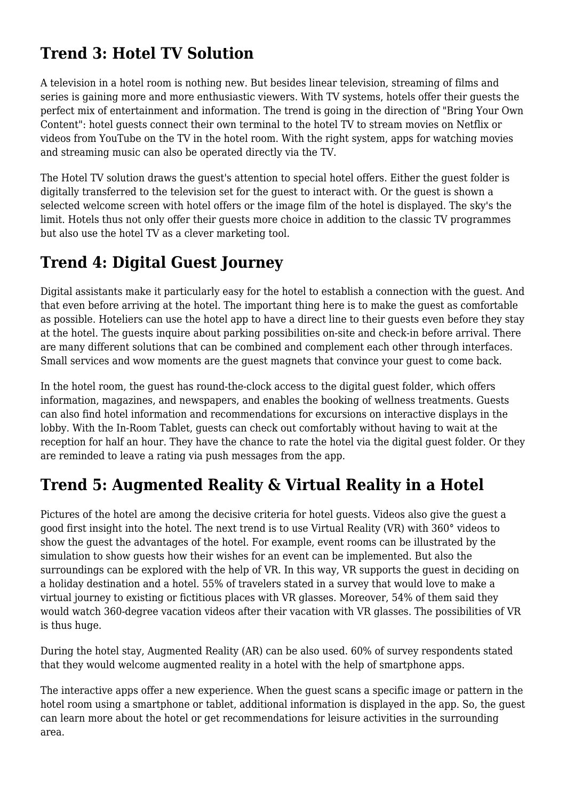# **Trend 3: Hotel TV Solution**

A television in a hotel room is nothing new. But besides linear television, streaming of films and series is gaining more and more enthusiastic viewers. With TV systems, hotels offer their guests the perfect mix of entertainment and information. The trend is going in the direction of "Bring Your Own Content": hotel guests connect their own terminal to the hotel TV to stream movies on Netflix or videos from YouTube on the TV in the hotel room. With the right system, apps for watching movies and streaming music can also be operated directly via the TV.

The Hotel TV solution draws the guest's attention to special hotel offers. Either the guest folder is digitally transferred to the television set for the guest to interact with. Or the guest is shown a selected welcome screen with hotel offers or the image film of the hotel is displayed. The sky's the limit. Hotels thus not only offer their guests more choice in addition to the classic TV programmes but also use the hotel TV as a clever marketing tool.

#### **Trend 4: Digital Guest Journey**

Digital assistants make it particularly easy for the hotel to establish a connection with the guest. And that even before arriving at the hotel. The important thing here is to make the guest as comfortable as possible. Hoteliers can use the hotel app to have a direct line to their guests even before they stay at the hotel. The guests inquire about parking possibilities on-site and check-in before arrival. There are many different solutions that can be combined and complement each other through interfaces. Small services and wow moments are the guest magnets that convince your guest to come back.

In the hotel room, the guest has round-the-clock access to the digital guest folder, which offers information, magazines, and newspapers, and enables the booking of wellness treatments. Guests can also find hotel information and recommendations for excursions on interactive displays in the lobby. With the In-Room Tablet, guests can check out comfortably without having to wait at the reception for half an hour. They have the chance to rate the hotel via the digital guest folder. Or they are reminded to leave a rating via push messages from the app.

#### **Trend 5: Augmented Reality & Virtual Reality in a Hotel**

Pictures of the hotel are among the decisive criteria for hotel guests. Videos also give the guest a good first insight into the hotel. The next trend is to use Virtual Reality (VR) with 360° videos to show the guest the advantages of the hotel. For example, event rooms can be illustrated by the simulation to show guests how their wishes for an event can be implemented. But also the surroundings can be explored with the help of VR. In this way, VR supports the guest in deciding on a holiday destination and a hotel. 55% of travelers stated in a survey that would love to make a virtual journey to existing or fictitious places with VR glasses. Moreover, 54% of them said they would watch 360-degree vacation videos after their vacation with VR glasses. The possibilities of VR is thus huge.

During the hotel stay, Augmented Reality (AR) can be also used. 60% of survey respondents stated that they would welcome augmented reality in a hotel with the help of smartphone apps.

The interactive apps offer a new experience. When the guest scans a specific image or pattern in the hotel room using a smartphone or tablet, additional information is displayed in the app. So, the guest can learn more about the hotel or get recommendations for leisure activities in the surrounding area.